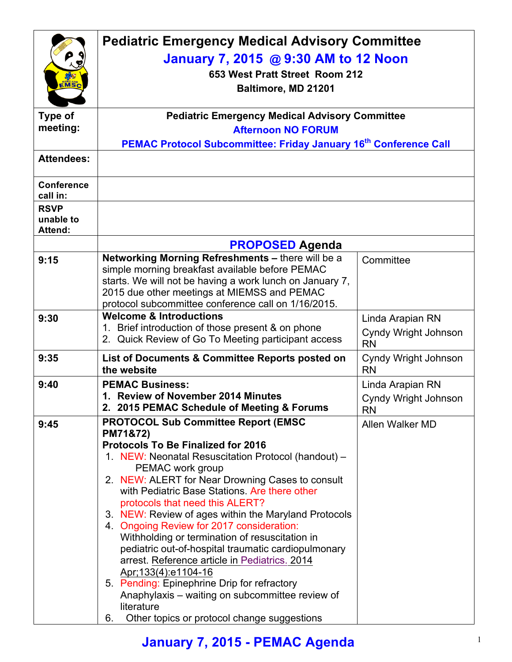|                                            | <b>Pediatric Emergency Medical Advisory Committee</b>                                                       |                                          |  |  |
|--------------------------------------------|-------------------------------------------------------------------------------------------------------------|------------------------------------------|--|--|
|                                            | January 7, 2015 @ 9:30 AM to 12 Noon                                                                        |                                          |  |  |
|                                            | 653 West Pratt Street Room 212                                                                              |                                          |  |  |
| EMSC                                       | Baltimore, MD 21201                                                                                         |                                          |  |  |
|                                            |                                                                                                             |                                          |  |  |
| <b>Type of</b><br>meeting:                 | <b>Pediatric Emergency Medical Advisory Committee</b>                                                       |                                          |  |  |
|                                            | <b>Afternoon NO FORUM</b><br><b>PEMAC Protocol Subcommittee: Friday January 16th Conference Call</b>        |                                          |  |  |
| <b>Attendees:</b>                          |                                                                                                             |                                          |  |  |
|                                            |                                                                                                             |                                          |  |  |
| <b>Conference</b><br>call in:              |                                                                                                             |                                          |  |  |
| <b>RSVP</b><br>unable to<br><b>Attend:</b> |                                                                                                             |                                          |  |  |
|                                            | <b>PROPOSED Agenda</b>                                                                                      |                                          |  |  |
| 9:15                                       | Networking Morning Refreshments - there will be a                                                           | Committee                                |  |  |
|                                            | simple morning breakfast available before PEMAC<br>starts. We will not be having a work lunch on January 7, |                                          |  |  |
|                                            | 2015 due other meetings at MIEMSS and PEMAC                                                                 |                                          |  |  |
|                                            | protocol subcommittee conference call on 1/16/2015.                                                         |                                          |  |  |
| 9:30                                       | <b>Welcome &amp; Introductions</b><br>1. Brief introduction of those present & on phone                     | Linda Arapian RN                         |  |  |
|                                            | 2. Quick Review of Go To Meeting participant access                                                         | Cyndy Wright Johnson<br><b>RN</b>        |  |  |
| 9:35                                       | List of Documents & Committee Reports posted on<br>the website                                              | Cyndy Wright Johnson<br><b>RN</b>        |  |  |
| 9:40                                       | <b>PEMAC Business:</b>                                                                                      | Linda Arapian RN                         |  |  |
|                                            | 1. Review of November 2014 Minutes<br>2. 2015 PEMAC Schedule of Meeting & Forums                            | <b>Cyndy Wright Johnson</b><br><b>RN</b> |  |  |
| 9:45                                       | <b>PROTOCOL Sub Committee Report (EMSC)</b>                                                                 | Allen Walker MD                          |  |  |
|                                            | PM71&72)<br><b>Protocols To Be Finalized for 2016</b>                                                       |                                          |  |  |
|                                            | 1. NEW: Neonatal Resuscitation Protocol (handout) -                                                         |                                          |  |  |
|                                            | PEMAC work group<br>2. NEW: ALERT for Near Drowning Cases to consult                                        |                                          |  |  |
|                                            | with Pediatric Base Stations. Are there other                                                               |                                          |  |  |
|                                            | protocols that need this ALERT?                                                                             |                                          |  |  |
|                                            | 3. NEW: Review of ages within the Maryland Protocols<br>4 Ongoing Review for 2017 consideration:            |                                          |  |  |
|                                            | Withholding or termination of resuscitation in                                                              |                                          |  |  |
|                                            | pediatric out-of-hospital traumatic cardiopulmonary                                                         |                                          |  |  |
|                                            | arrest. Reference article in Pediatrics. 2014<br>Apr; 133(4): e1104-16                                      |                                          |  |  |
|                                            | 5. Pending: Epinephrine Drip for refractory                                                                 |                                          |  |  |
|                                            | Anaphylaxis – waiting on subcommittee review of                                                             |                                          |  |  |
|                                            | literature<br>Other topics or protocol change suggestions<br>6.                                             |                                          |  |  |

## **January 7, 2015 - PEMAC Agenda** <sup>1</sup>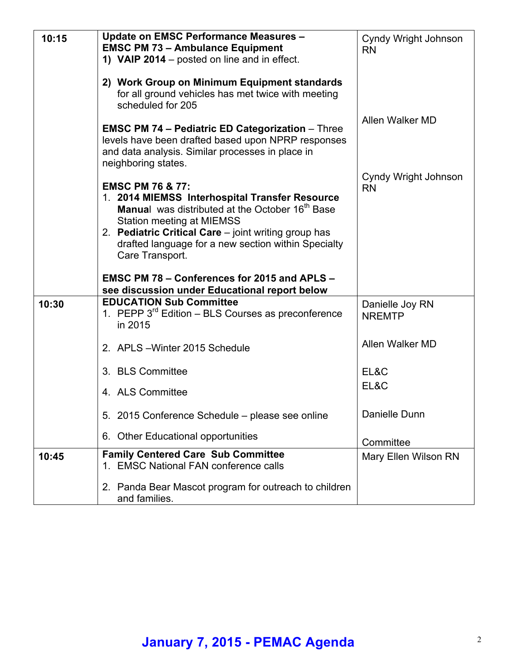| 10:15 | <b>Update on EMSC Performance Measures -</b><br><b>EMSC PM 73 - Ambulance Equipment</b><br>1) VAIP 2014 - posted on line and in effect.                                                                                                                                                                                                                                   | Cyndy Wright Johnson<br><b>RN</b> |
|-------|---------------------------------------------------------------------------------------------------------------------------------------------------------------------------------------------------------------------------------------------------------------------------------------------------------------------------------------------------------------------------|-----------------------------------|
|       | 2) Work Group on Minimum Equipment standards<br>for all ground vehicles has met twice with meeting<br>scheduled for 205                                                                                                                                                                                                                                                   |                                   |
|       | <b>EMSC PM 74 - Pediatric ED Categorization - Three</b><br>levels have been drafted based upon NPRP responses<br>and data analysis. Similar processes in place in<br>neighboring states.                                                                                                                                                                                  | Allen Walker MD                   |
|       | <b>EMSC PM 76 &amp; 77:</b><br>1. 2014 MIEMSS Interhospital Transfer Resource<br>Manual was distributed at the October 16 <sup>th</sup> Base<br><b>Station meeting at MIEMSS</b><br>2. Pediatric Critical Care - joint writing group has<br>drafted language for a new section within Specialty<br>Care Transport.<br><b>EMSC PM 78 - Conferences for 2015 and APLS -</b> | Cyndy Wright Johnson<br><b>RN</b> |
|       | see discussion under Educational report below                                                                                                                                                                                                                                                                                                                             |                                   |
| 10:30 | <b>EDUCATION Sub Committee</b><br>1. PEPP $3^{rd}$ Edition – BLS Courses as preconference<br>in 2015                                                                                                                                                                                                                                                                      | Danielle Joy RN<br><b>NREMTP</b>  |
|       | 2. APLS - Winter 2015 Schedule                                                                                                                                                                                                                                                                                                                                            | Allen Walker MD                   |
|       | 3. BLS Committee                                                                                                                                                                                                                                                                                                                                                          | EL&C                              |
|       | 4. ALS Committee                                                                                                                                                                                                                                                                                                                                                          | EL&C                              |
|       | 5. 2015 Conference Schedule - please see online                                                                                                                                                                                                                                                                                                                           | Danielle Dunn                     |
|       | 6. Other Educational opportunities                                                                                                                                                                                                                                                                                                                                        | Committee                         |
| 10:45 | <b>Family Centered Care Sub Committee</b><br>1. EMSC National FAN conference calls                                                                                                                                                                                                                                                                                        | Mary Ellen Wilson RN              |
|       | 2. Panda Bear Mascot program for outreach to children<br>and families.                                                                                                                                                                                                                                                                                                    |                                   |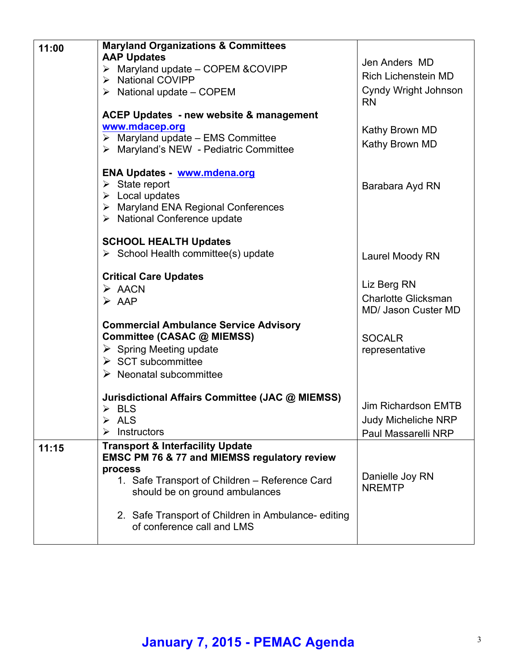| 11:00 | <b>Maryland Organizations &amp; Committees</b>                                   |                            |
|-------|----------------------------------------------------------------------------------|----------------------------|
|       | <b>AAP Updates</b>                                                               | Jen Anders MD              |
|       | $\triangleright$ Maryland update - COPEM & COVIPP                                | <b>Rich Lichenstein MD</b> |
|       | > National COVIPP<br>$\triangleright$ National update – COPEM                    | Cyndy Wright Johnson       |
|       |                                                                                  | <b>RN</b>                  |
|       | <b>ACEP Updates - new website &amp; management</b>                               |                            |
|       | www.mdacep.org                                                                   | Kathy Brown MD             |
|       | $\triangleright$ Maryland update - EMS Committee                                 | Kathy Brown MD             |
|       | > Maryland's NEW - Pediatric Committee                                           |                            |
|       | <b>ENA Updates - www.mdena.org</b>                                               |                            |
|       | $\triangleright$ State report                                                    | Barabara Ayd RN            |
|       | $\triangleright$ Local updates                                                   |                            |
|       | > Maryland ENA Regional Conferences                                              |                            |
|       | > National Conference update                                                     |                            |
|       | <b>SCHOOL HEALTH Updates</b>                                                     |                            |
|       | $\triangleright$ School Health committee(s) update                               | Laurel Moody RN            |
|       |                                                                                  |                            |
|       | <b>Critical Care Updates</b>                                                     | Liz Berg RN                |
|       | $\triangleright$ AACN                                                            | <b>Charlotte Glicksman</b> |
|       | $\triangleright$ AAP                                                             | MD/ Jason Custer MD        |
|       | <b>Commercial Ambulance Service Advisory</b>                                     |                            |
|       | Committee (CASAC @ MIEMSS)                                                       | <b>SOCALR</b>              |
|       | $\triangleright$ Spring Meeting update                                           | representative             |
|       | $\triangleright$ SCT subcommittee                                                |                            |
|       | $\triangleright$ Neonatal subcommittee                                           |                            |
|       |                                                                                  |                            |
|       | Jurisdictional Affairs Committee (JAC @ MIEMSS)<br>$\triangleright$ BLS          | Jim Richardson EMTB        |
|       | <b>ALS</b><br>➤                                                                  | <b>Judy Micheliche NRP</b> |
|       | Instructors                                                                      | Paul Massarelli NRP        |
| 11:15 | <b>Transport &amp; Interfacility Update</b>                                      |                            |
|       | <b>EMSC PM 76 &amp; 77 and MIEMSS regulatory review</b>                          |                            |
|       | process                                                                          | Danielle Joy RN            |
|       | 1. Safe Transport of Children - Reference Card<br>should be on ground ambulances | <b>NREMTP</b>              |
|       |                                                                                  |                            |
|       | 2. Safe Transport of Children in Ambulance-editing                               |                            |
|       | of conference call and LMS                                                       |                            |
|       |                                                                                  |                            |